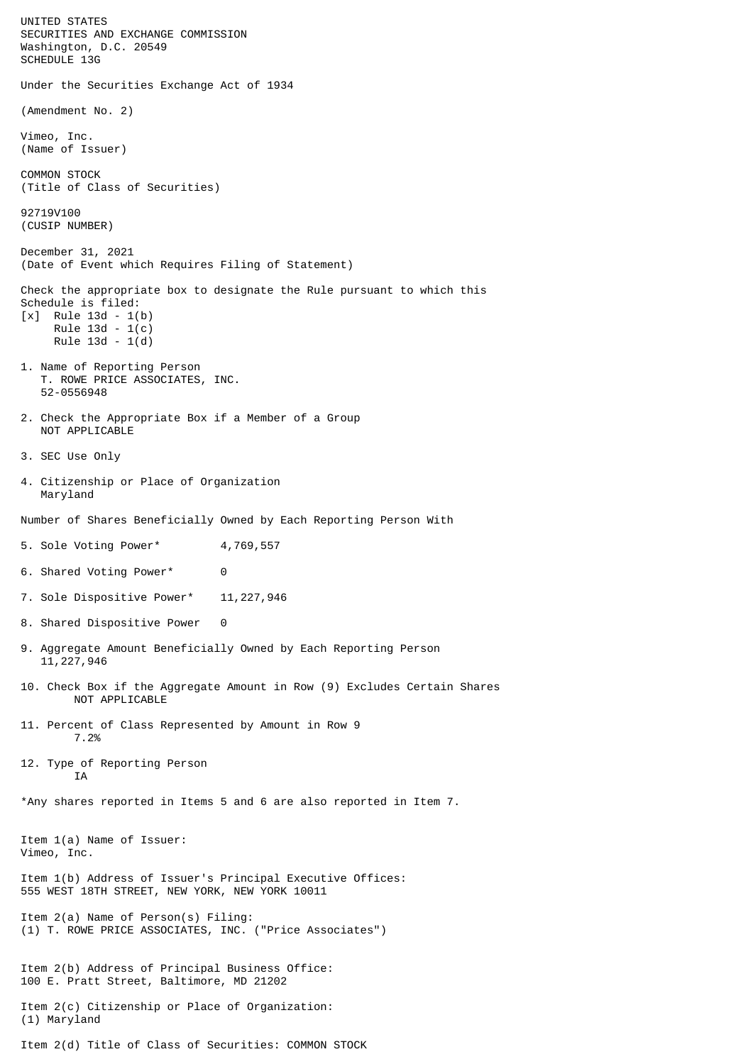UNITED STATES SECURITIES AND EXCHANGE COMMISSION Washington, D.C. 20549 SCHEDULE 13G Under the Securities Exchange Act of 1934 (Amendment No. 2) Vimeo, Inc. (Name of Issuer) COMMON STOCK (Title of Class of Securities) 92719V100 (CUSIP NUMBER) December 31, 2021 (Date of Event which Requires Filing of Statement) Check the appropriate box to designate the Rule pursuant to which this Schedule is filed: [x] Rule 13d - 1(b) Rule 13d - 1(c) Rule 13d - 1(d) 1. Name of Reporting Person T. ROWE PRICE ASSOCIATES, INC. 52-0556948 2. Check the Appropriate Box if a Member of a Group NOT APPLICABLE 3. SEC Use Only 4. Citizenship or Place of Organization Maryland Number of Shares Beneficially Owned by Each Reporting Person With 5. Sole Voting Power\* 4,769,557 6. Shared Voting Power\* 0 7. Sole Dispositive Power\* 11,227,946 8. Shared Dispositive Power 0 9. Aggregate Amount Beneficially Owned by Each Reporting Person 11,227,946 10. Check Box if the Aggregate Amount in Row (9) Excludes Certain Shares NOT APPLICABLE 11. Percent of Class Represented by Amount in Row 9 7.2% 12. Type of Reporting Person **TA** \*Any shares reported in Items 5 and 6 are also reported in Item 7. Item 1(a) Name of Issuer: Vimeo, Inc. Item 1(b) Address of Issuer's Principal Executive Offices: 555 WEST 18TH STREET, NEW YORK, NEW YORK 10011 Item 2(a) Name of Person(s) Filing: (1) T. ROWE PRICE ASSOCIATES, INC. ("Price Associates") Item 2(b) Address of Principal Business Office: 100 E. Pratt Street, Baltimore, MD 21202 Item 2(c) Citizenship or Place of Organization: (1) Maryland Item 2(d) Title of Class of Securities: COMMON STOCK